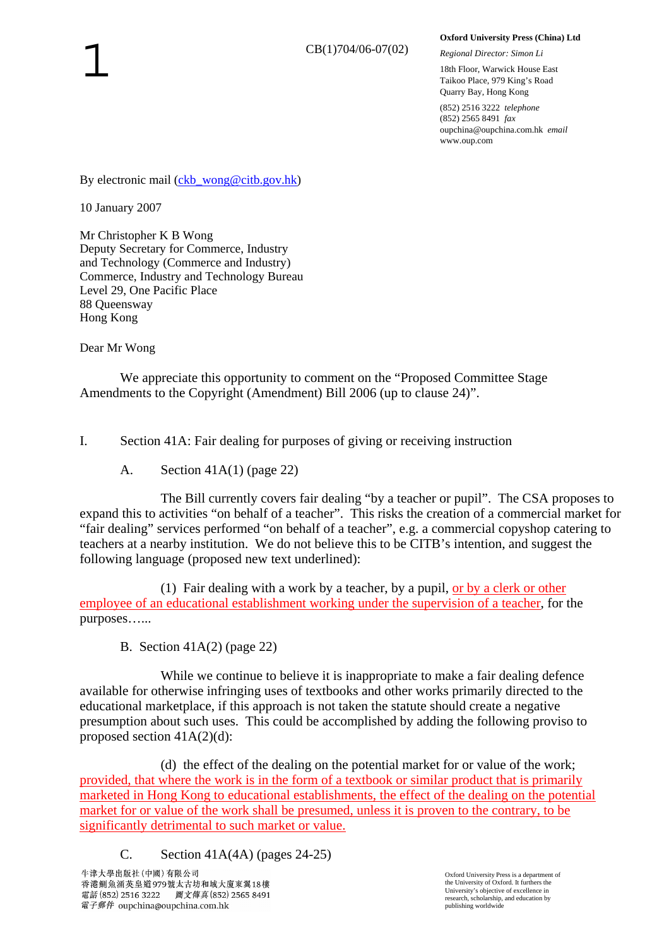## **Oxford University Press (China) Ltd**

*Regional Director: Simon Li* 

18th Floor, Warwick House East Taikoo Place, 979 King's Road Quarry Bay, Hong Kong

(852) 2516 3222 *telephone* (852) 2565 8491 *fax* oupchina@oupchina.com.hk *email* www.oup.com

By electronic mail (ckb wong@citb.gov.hk)

10 January 2007

Mr Christopher K B Wong Deputy Secretary for Commerce, Industry and Technology (Commerce and Industry) Commerce, Industry and Technology Bureau Level 29, One Pacific Place 88 Queensway Hong Kong

Dear Mr Wong

 We appreciate this opportunity to comment on the "Proposed Committee Stage Amendments to the Copyright (Amendment) Bill 2006 (up to clause 24)".

I. Section 41A: Fair dealing for purposes of giving or receiving instruction

A. Section 41A(1) (page 22)

 The Bill currently covers fair dealing "by a teacher or pupil". The CSA proposes to expand this to activities "on behalf of a teacher". This risks the creation of a commercial market for "fair dealing" services performed "on behalf of a teacher", e.g. a commercial copyshop catering to teachers at a nearby institution. We do not believe this to be CITB's intention, and suggest the following language (proposed new text underlined):

 (1) Fair dealing with a work by a teacher, by a pupil, or by a clerk or other employee of an educational establishment working under the supervision of a teacher, for the purposes…...

B. Section 41A(2) (page 22)

While we continue to believe it is inappropriate to make a fair dealing defence available for otherwise infringing uses of textbooks and other works primarily directed to the educational marketplace, if this approach is not taken the statute should create a negative presumption about such uses. This could be accomplished by adding the following proviso to proposed section 41A(2)(d):

 (d) the effect of the dealing on the potential market for or value of the work; provided, that where the work is in the form of a textbook or similar product that is primarily marketed in Hong Kong to educational establishments, the effect of the dealing on the potential market for or value of the work shall be presumed, unless it is proven to the contrary, to be significantly detrimental to such market or value.

C. Section  $41A(4A)$  (pages  $24-25$ )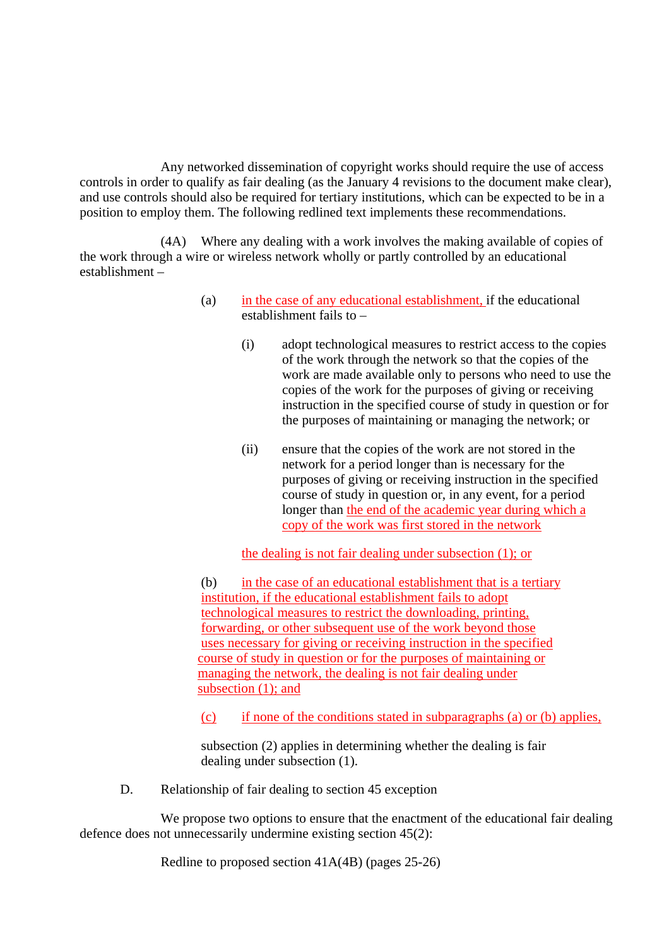Any networked dissemination of copyright works should require the use of access controls in order to qualify as fair dealing (as the January 4 revisions to the document make clear), and use controls should also be required for tertiary institutions, which can be expected to be in a position to employ them. The following redlined text implements these recommendations.

 (4A) Where any dealing with a work involves the making available of copies of the work through a wire or wireless network wholly or partly controlled by an educational establishment –

- (a) in the case of any educational establishment, if the educational establishment fails to –
	- (i) adopt technological measures to restrict access to the copies of the work through the network so that the copies of the work are made available only to persons who need to use the copies of the work for the purposes of giving or receiving instruction in the specified course of study in question or for the purposes of maintaining or managing the network; or
	- (ii) ensure that the copies of the work are not stored in the network for a period longer than is necessary for the purposes of giving or receiving instruction in the specified course of study in question or, in any event, for a period longer than the end of the academic year during which a copy of the work was first stored in the network

the dealing is not fair dealing under subsection (1); or

 (b) in the case of an educational establishment that is a tertiary institution, if the educational establishment fails to adopt technological measures to restrict the downloading, printing, forwarding, or other subsequent use of the work beyond those uses necessary for giving or receiving instruction in the specified course of study in question or for the purposes of maintaining or managing the network, the dealing is not fair dealing under subsection (1); and

(c) if none of the conditions stated in subparagraphs (a) or (b) applies,

 subsection (2) applies in determining whether the dealing is fair dealing under subsection (1).

D. Relationship of fair dealing to section 45 exception

We propose two options to ensure that the enactment of the educational fair dealing defence does not unnecessarily undermine existing section 45(2):

Redline to proposed section 41A(4B) (pages 25-26)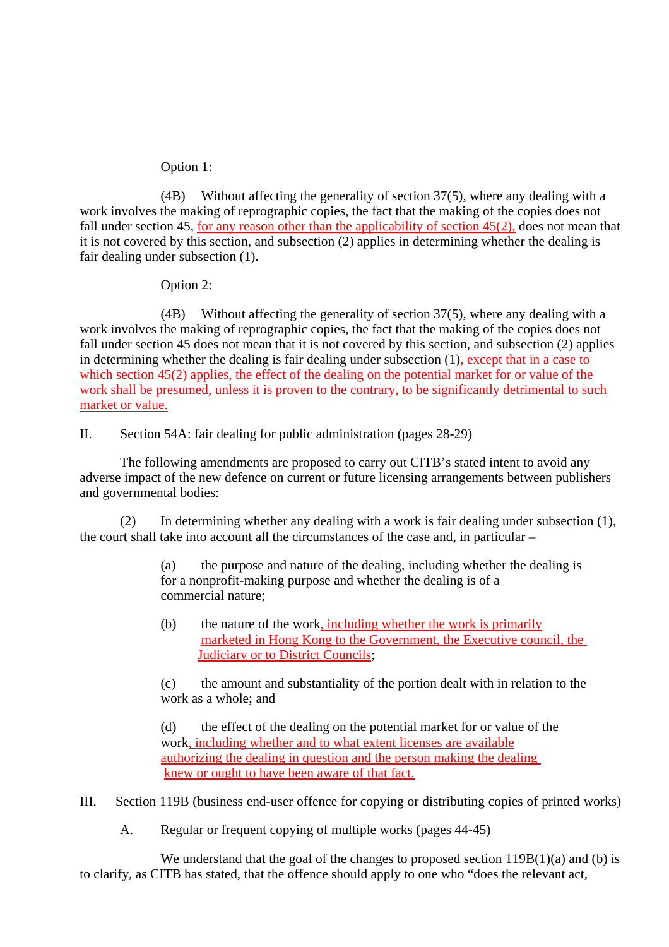## Option 1:

 (4B) Without affecting the generality of section 37(5), where any dealing with a work involves the making of reprographic copies, the fact that the making of the copies does not fall under section 45, for any reason other than the applicability of section  $45(2)$ , does not mean that it is not covered by this section, and subsection (2) applies in determining whether the dealing is fair dealing under subsection (1).

Option 2:

 (4B) Without affecting the generality of section 37(5), where any dealing with a work involves the making of reprographic copies, the fact that the making of the copies does not fall under section 45 does not mean that it is not covered by this section, and subsection (2) applies in determining whether the dealing is fair dealing under subsection (1), except that in a case to which section 45(2) applies, the effect of the dealing on the potential market for or value of the work shall be presumed, unless it is proven to the contrary, to be significantly detrimental to such market or value.

II. Section 54A: fair dealing for public administration (pages 28-29)

 The following amendments are proposed to carry out CITB's stated intent to avoid any adverse impact of the new defence on current or future licensing arrangements between publishers and governmental bodies:

 (2) In determining whether any dealing with a work is fair dealing under subsection (1), the court shall take into account all the circumstances of the case and, in particular –

> (a) the purpose and nature of the dealing, including whether the dealing is for a nonprofit-making purpose and whether the dealing is of a commercial nature;

 (b) the nature of the work, including whether the work is primarily marketed in Hong Kong to the Government, the Executive council, the Judiciary or to District Councils;

 (c) the amount and substantiality of the portion dealt with in relation to the work as a whole; and

 (d) the effect of the dealing on the potential market for or value of the work, including whether and to what extent licenses are available authorizing the dealing in question and the person making the dealing knew or ought to have been aware of that fact.

III. Section 119B (business end-user offence for copying or distributing copies of printed works)

A. Regular or frequent copying of multiple works (pages 44-45)

We understand that the goal of the changes to proposed section  $119B(1)(a)$  and (b) is to clarify, as CITB has stated, that the offence should apply to one who "does the relevant act,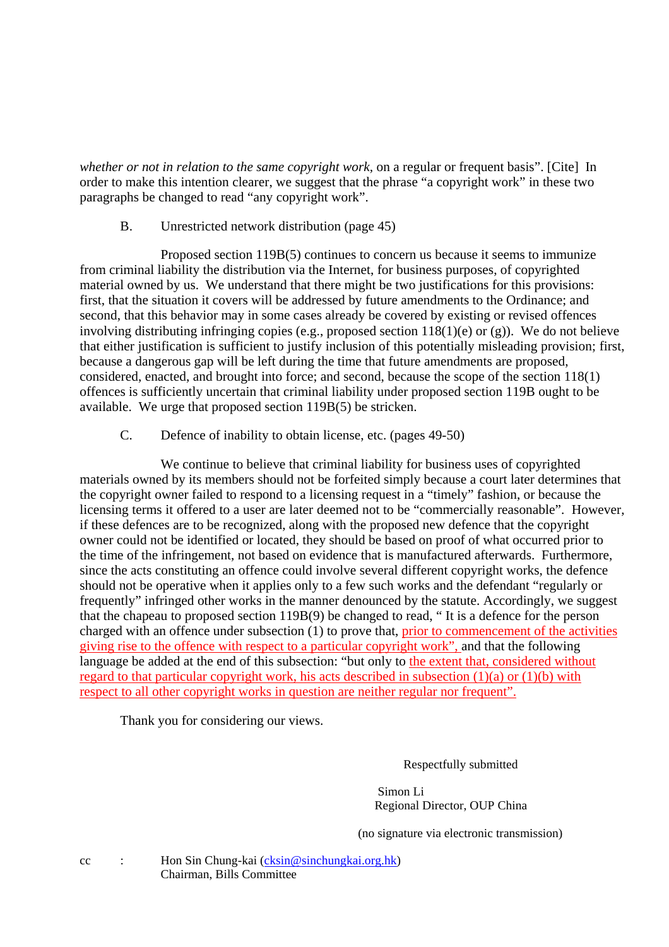*whether or not in relation to the same copyright work,* on a regular or frequent basis". [Cite] In order to make this intention clearer, we suggest that the phrase "a copyright work" in these two paragraphs be changed to read "any copyright work".

## B. Unrestricted network distribution (page 45)

 Proposed section 119B(5) continues to concern us because it seems to immunize from criminal liability the distribution via the Internet, for business purposes, of copyrighted material owned by us. We understand that there might be two justifications for this provisions: first, that the situation it covers will be addressed by future amendments to the Ordinance; and second, that this behavior may in some cases already be covered by existing or revised offences involving distributing infringing copies (e.g., proposed section  $118(1)(e)$  or (g)). We do not believe that either justification is sufficient to justify inclusion of this potentially misleading provision; first, because a dangerous gap will be left during the time that future amendments are proposed, considered, enacted, and brought into force; and second, because the scope of the section 118(1) offences is sufficiently uncertain that criminal liability under proposed section 119B ought to be available. We urge that proposed section 119B(5) be stricken.

## C. Defence of inability to obtain license, etc. (pages 49-50)

 We continue to believe that criminal liability for business uses of copyrighted materials owned by its members should not be forfeited simply because a court later determines that the copyright owner failed to respond to a licensing request in a "timely" fashion, or because the licensing terms it offered to a user are later deemed not to be "commercially reasonable". However, if these defences are to be recognized, along with the proposed new defence that the copyright owner could not be identified or located, they should be based on proof of what occurred prior to the time of the infringement, not based on evidence that is manufactured afterwards. Furthermore, since the acts constituting an offence could involve several different copyright works, the defence should not be operative when it applies only to a few such works and the defendant "regularly or frequently" infringed other works in the manner denounced by the statute. Accordingly, we suggest that the chapeau to proposed section 119B(9) be changed to read, " It is a defence for the person charged with an offence under subsection (1) to prove that, prior to commencement of the activities giving rise to the offence with respect to a particular copyright work", and that the following language be added at the end of this subsection: "but only to the extent that, considered without regard to that particular copyright work, his acts described in subsection  $(1)(a)$  or  $(1)(b)$  with respect to all other copyright works in question are neither regular nor frequent".

Thank you for considering our views.

Respectfully submitted

 Simon Li Regional Director, OUP China

(no signature via electronic transmission)

cc : Hon Sin Chung-kai (cksin@sinchungkai.org.hk) Chairman, Bills Committee